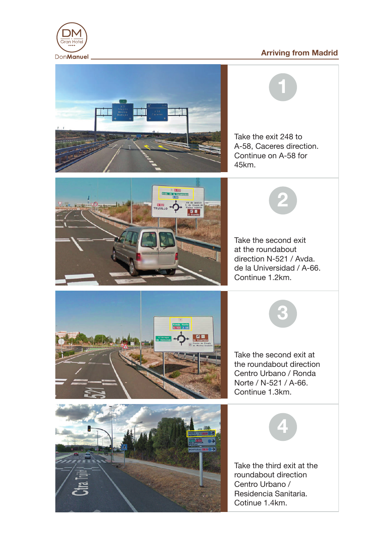## **Arriving from Madrid**



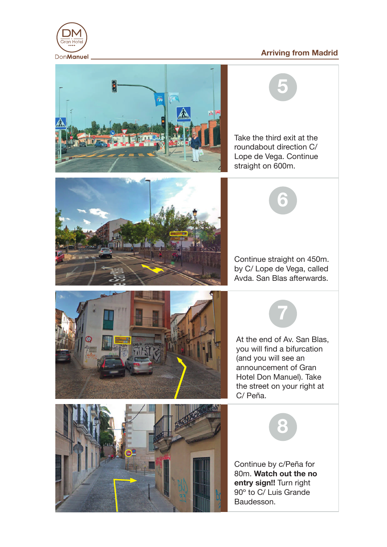## **Arriving from Madrid**





Take the third exit at the

**5**



**7**









Continue by c/Peña for 80m. **Watch out the no entry sign!!** Turn right 90º to C/ Luis Grande Baudesson.